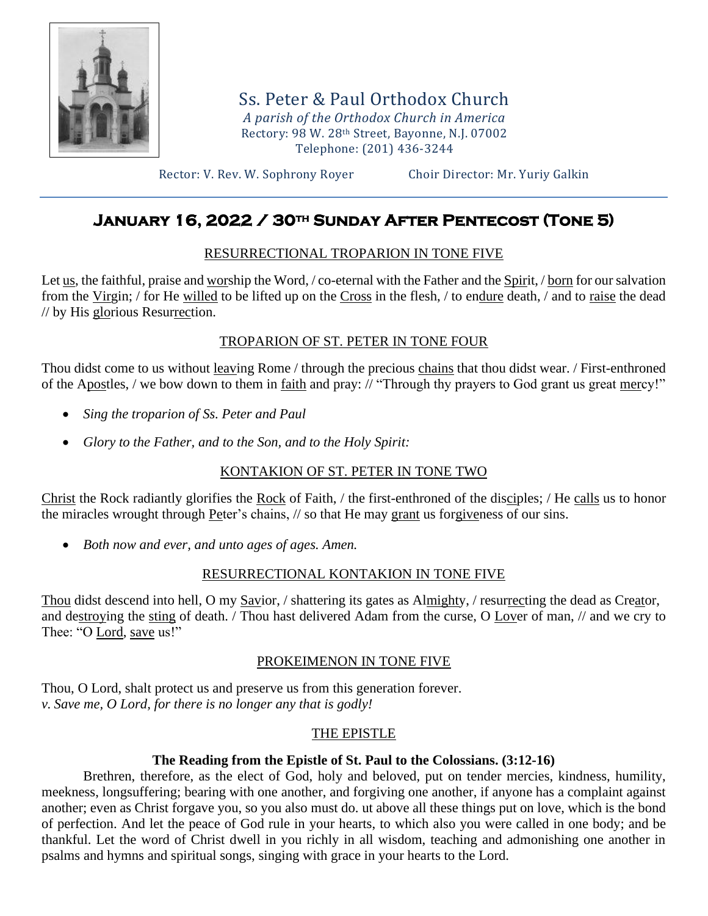

Ss. Peter & Paul Orthodox Church *A parish of the Orthodox Church in America* Rectory: 98 W. 28th Street, Bayonne, N.J. 07002 Telephone: (201) 436-3244

Rector: V. Rev. W. Sophrony Royer Choir Director: Mr. Yuriy Galkin

# **January 16, 2022 / 30th Sunday After Pentecost (Tone 5)**

## RESURRECTIONAL TROPARION IN TONE FIVE

Let us, the faithful, praise and worship the Word, / co-eternal with the Father and the Spirit, / born for our salvation from the Virgin; / for He willed to be lifted up on the Cross in the flesh, / to endure death, / and to raise the dead // by His glorious Resurrection.

## TROPARION OF ST. PETER IN TONE FOUR

Thou didst come to us without leaving Rome / through the precious chains that thou didst wear. / First-enthroned of the Apostles, / we bow down to them in faith and pray: // "Through thy prayers to God grant us great mercy!"

- *Sing the troparion of Ss. Peter and Paul*
- *Glory to the Father, and to the Son, and to the Holy Spirit:*

# KONTAKION OF ST. PETER IN TONE TWO

Christ the Rock radiantly glorifies the Rock of Faith, / the first-enthroned of the disciples; / He calls us to honor the miracles wrought through Peter's chains, // so that He may grant us forgiveness of our sins.

• *Both now and ever, and unto ages of ages. Amen.*

### RESURRECTIONAL KONTAKION IN TONE FIVE

Thou didst descend into hell, O my Savior, / shattering its gates as Almighty, / resurrecting the dead as Creator, and destroying the sting of death. / Thou hast delivered Adam from the curse, O Lover of man, // and we cry to Thee: "O Lord, save us!"

# PROKEIMENON IN TONE FIVE

Thou, O Lord, shalt protect us and preserve us from this generation forever. *v. Save me, O Lord, for there is no longer any that is godly!*

# THE EPISTLE

### **The Reading from the Epistle of St. Paul to the Colossians. (3:12-16)**

Brethren, therefore, as the elect of God, holy and beloved, put on tender mercies, kindness, humility, meekness, longsuffering; bearing with one another, and forgiving one another, if anyone has a complaint against another; even as Christ forgave you, so you also must do. ut above all these things put on love, which is the bond of perfection. And let the peace of God rule in your hearts, to which also you were called in one body; and be thankful. Let the word of Christ dwell in you richly in all wisdom, teaching and admonishing one another in psalms and hymns and spiritual songs, singing with grace in your hearts to the Lord.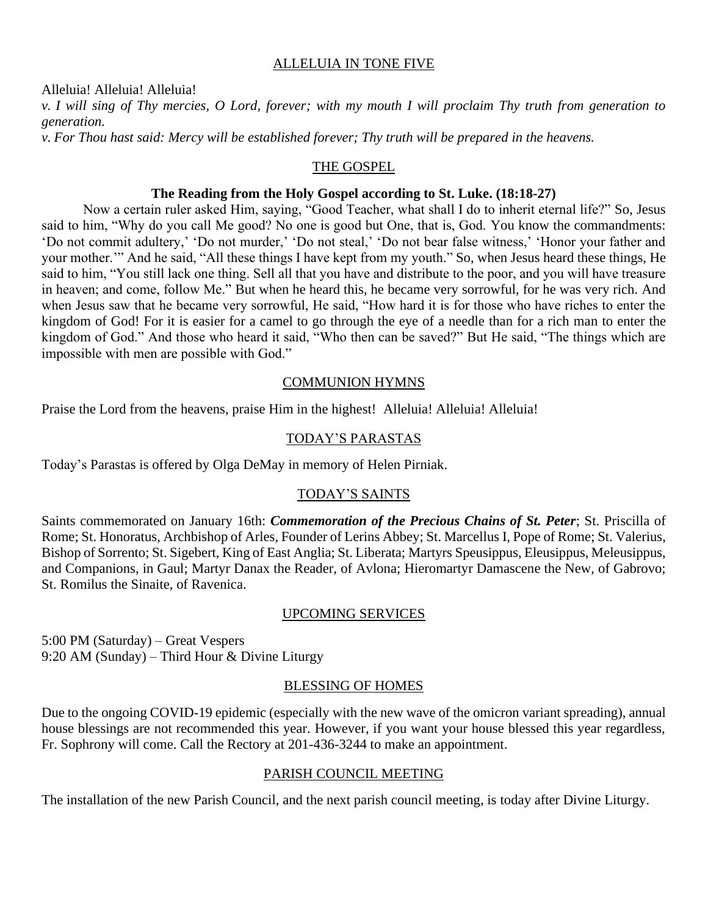#### ALLELUIA IN TONE FIVE

Alleluia! Alleluia! Alleluia!

*v. I will sing of Thy mercies, O Lord, forever; with my mouth I will proclaim Thy truth from generation to generation.*

*v. For Thou hast said: Mercy will be established forever; Thy truth will be prepared in the heavens.*

#### THE GOSPEL

#### **The Reading from the Holy Gospel according to St. Luke. (18:18-27)**

Now a certain ruler asked Him, saying, "Good Teacher, what shall I do to inherit eternal life?" So, Jesus said to him, "Why do you call Me good? No one is good but One, that is, God. You know the commandments: 'Do not commit adultery,' 'Do not murder,' 'Do not steal,' 'Do not bear false witness,' 'Honor your father and your mother.'" And he said, "All these things I have kept from my youth." So, when Jesus heard these things, He said to him, "You still lack one thing. Sell all that you have and distribute to the poor, and you will have treasure in heaven; and come, follow Me." But when he heard this, he became very sorrowful, for he was very rich. And when Jesus saw that he became very sorrowful, He said, "How hard it is for those who have riches to enter the kingdom of God! For it is easier for a camel to go through the eye of a needle than for a rich man to enter the kingdom of God." And those who heard it said, "Who then can be saved?" But He said, "The things which are impossible with men are possible with God."

#### COMMUNION HYMNS

Praise the Lord from the heavens, praise Him in the highest! Alleluia! Alleluia! Alleluia!

#### TODAY'S PARASTAS

Today's Parastas is offered by Olga DeMay in memory of Helen Pirniak.

#### TODAY'S SAINTS

Saints commemorated on January 16th: *Commemoration of the Precious Chains of St. Peter*; St. Priscilla of Rome; St. Honoratus, Archbishop of Arles, Founder of Lerins Abbey; St. Marcellus I, Pope of Rome; St. Valerius, Bishop of Sorrento; St. Sigebert, King of East Anglia; St. Liberata; Martyrs Speusippus, Eleusippus, Meleusippus, and Companions, in Gaul; Martyr Danax the Reader, of Avlona; Hieromartyr Damascene the New, of Gabrovo; St. Romilus the Sinaite, of Ravenica.

#### UPCOMING SERVICES

5:00 PM (Saturday) – Great Vespers 9:20 AM (Sunday) – Third Hour & Divine Liturgy

#### BLESSING OF HOMES

Due to the ongoing COVID-19 epidemic (especially with the new wave of the omicron variant spreading), annual house blessings are not recommended this year. However, if you want your house blessed this year regardless, Fr. Sophrony will come. Call the Rectory at 201-436-3244 to make an appointment.

#### PARISH COUNCIL MEETING

The installation of the new Parish Council, and the next parish council meeting, is today after Divine Liturgy.